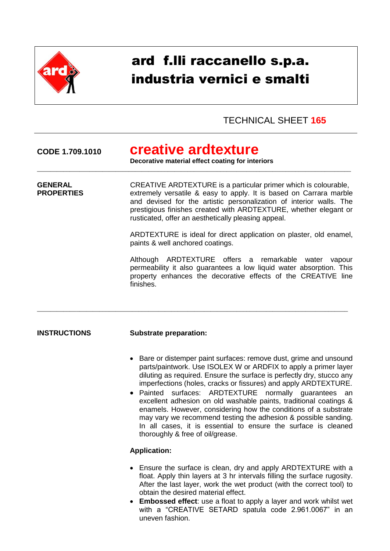

# ard f.lli raccanello s.p.a. industria vernici e smalti

## TECHNICAL SHEET **165**

**CODE 1.709.1010 creative ardtexture**

**Decorative material effect coating for interiors** \_\_\_\_\_\_\_\_\_\_\_\_\_\_\_\_\_\_\_\_\_\_\_\_\_\_\_\_\_\_\_\_\_\_\_\_\_\_\_\_\_\_\_\_\_\_\_\_\_\_\_\_\_\_\_\_\_\_\_\_\_\_\_\_\_\_\_\_\_\_\_\_\_\_\_\_\_\_\_\_\_\_\_\_\_\_\_\_\_\_\_\_\_\_\_\_

**GENERAL CREATIVE ARDTEXTURE** is a particular primer which is colourable, **PROPERTIES** extremely versatile & easy to apply. It is based on Carrara marble and devised for the artistic personalization of interior walls. The prestigious finishes created with ARDTEXTURE, whether elegant or rusticated, offer an aesthetically pleasing appeal.

\_\_\_\_\_\_\_\_\_\_\_\_\_\_\_\_\_\_\_\_\_\_\_\_\_\_\_\_\_\_\_\_\_\_\_\_\_\_\_\_\_\_\_\_\_\_\_\_\_\_\_\_\_\_\_\_\_\_\_\_\_\_\_\_\_\_\_\_\_\_\_\_\_\_\_\_\_\_\_\_\_\_\_\_\_\_\_\_\_\_\_\_\_\_\_

ARDTEXTURE is ideal for direct application on plaster, old enamel, paints & well anchored coatings.

Although ARDTEXTURE offers a remarkable water vapour permeability it also guarantees a low liquid water absorption. This property enhances the decorative effects of the CREATIVE line finishes.

### **INSTRUCTIONS Substrate preparation:**

- Bare or distemper paint surfaces: remove dust, grime and unsound parts/paintwork. Use ISOLEX W or ARDFIX to apply a primer layer diluting as required. Ensure the surface is perfectly dry, stucco any imperfections (holes, cracks or fissures) and apply ARDTEXTURE.
- Painted surfaces: ARDTEXTURE normally guarantees an excellent adhesion on old washable paints, traditional coatings & enamels. However, considering how the conditions of a substrate may vary we recommend testing the adhesion & possible sanding. In all cases, it is essential to ensure the surface is cleaned thoroughly & free of oil/grease.

### **Application:**

- Ensure the surface is clean, dry and apply ARDTEXTURE with a float. Apply thin layers at 3 hr intervals filling the surface rugosity. After the last layer, work the wet product (with the correct tool) to obtain the desired material effect.
- **Embossed effect**: use a float to apply a layer and work whilst wet with a "CREATIVE SETARD spatula code 2.961.0067" in an uneven fashion.